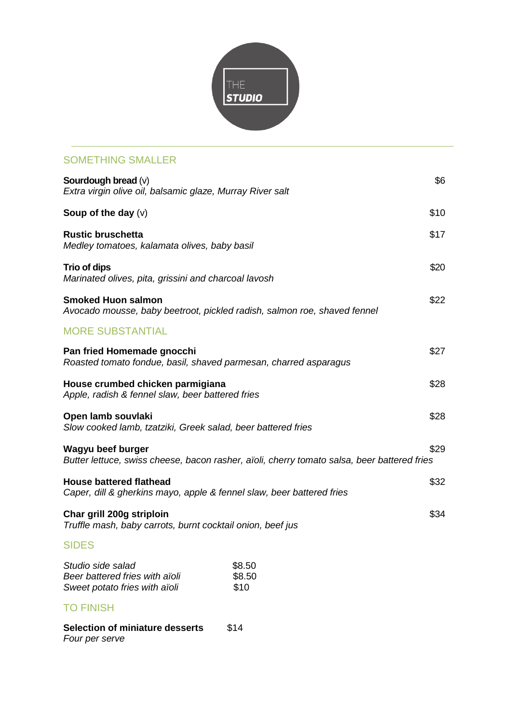

## SOMETHING SMALLER

| Sourdough bread $(v)$<br>Extra virgin olive oil, balsamic glaze, Murray River salt                      |                                                                                             |      |  |
|---------------------------------------------------------------------------------------------------------|---------------------------------------------------------------------------------------------|------|--|
| Soup of the day $(v)$                                                                                   |                                                                                             | \$10 |  |
| <b>Rustic bruschetta</b><br>Medley tomatoes, kalamata olives, baby basil                                |                                                                                             |      |  |
| Trio of dips<br>Marinated olives, pita, grissini and charcoal lavosh                                    |                                                                                             | \$20 |  |
| <b>Smoked Huon salmon</b><br>Avocado mousse, baby beetroot, pickled radish, salmon roe, shaved fennel   |                                                                                             |      |  |
| <b>MORE SUBSTANTIAL</b>                                                                                 |                                                                                             |      |  |
| Pan fried Homemade gnocchi<br>Roasted tomato fondue, basil, shaved parmesan, charred asparagus          |                                                                                             |      |  |
| House crumbed chicken parmigiana<br>Apple, radish & fennel slaw, beer battered fries                    |                                                                                             |      |  |
| Open lamb souvlaki<br>Slow cooked lamb, tzatziki, Greek salad, beer battered fries                      |                                                                                             |      |  |
| Wagyu beef burger                                                                                       | Butter lettuce, swiss cheese, bacon rasher, aïoli, cherry tomato salsa, beer battered fries | \$29 |  |
| <b>House battered flathead</b><br>Caper, dill & gherkins mayo, apple & fennel slaw, beer battered fries |                                                                                             | \$32 |  |
| Char grill 200g striploin<br>Truffle mash, baby carrots, burnt cocktail onion, beef jus                 |                                                                                             | \$34 |  |
| <b>SIDES</b>                                                                                            |                                                                                             |      |  |
| Studio side salad<br>Beer battered fries with aïoli<br>Sweet potato fries with aïoli                    | \$8.50<br>\$8.50<br>\$10                                                                    |      |  |
| <b>TO FINISH</b>                                                                                        |                                                                                             |      |  |
| <b>Selection of miniature desserts</b><br>Four per serve                                                | \$14                                                                                        |      |  |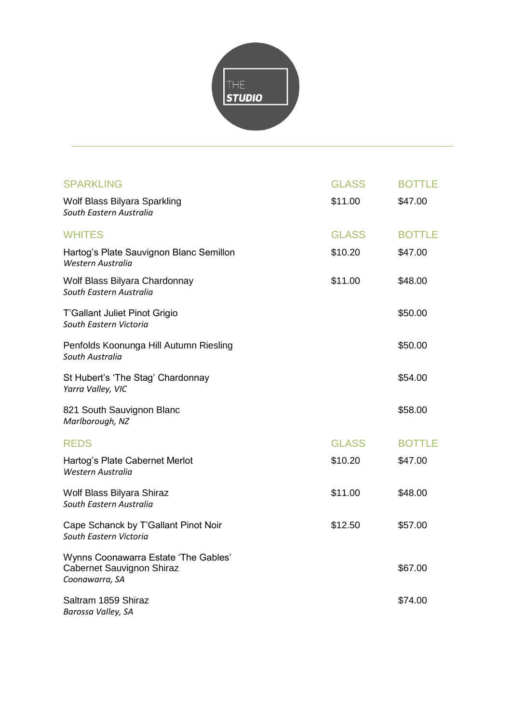

| <b>SPARKLING</b>                                                                    | <b>GLASS</b> | <b>BOTTLE</b> |
|-------------------------------------------------------------------------------------|--------------|---------------|
| Wolf Blass Bilyara Sparkling<br>South Eastern Australia                             | \$11.00      | \$47.00       |
| <b>WHITES</b>                                                                       | <b>GLASS</b> | <b>BOTTLE</b> |
| Hartog's Plate Sauvignon Blanc Semillon<br>Western Australia                        | \$10.20      | \$47.00       |
| Wolf Blass Bilyara Chardonnay<br>South Eastern Australia                            | \$11.00      | \$48.00       |
| T'Gallant Juliet Pinot Grigio<br>South Eastern Victoria                             |              | \$50.00       |
| Penfolds Koonunga Hill Autumn Riesling<br>South Australia                           |              | \$50.00       |
| St Hubert's 'The Stag' Chardonnay<br>Yarra Valley, VIC                              |              | \$54.00       |
| 821 South Sauvignon Blanc<br>Marlborough, NZ                                        |              | \$58.00       |
| <b>REDS</b>                                                                         | <b>GLASS</b> | <b>BOTTLE</b> |
| Hartog's Plate Cabernet Merlot<br>Western Australia                                 | \$10.20      | \$47.00       |
| Wolf Blass Bilyara Shiraz<br>South Eastern Australia                                | \$11.00      | \$48.00       |
| Cape Schanck by T'Gallant Pinot Noir<br>South Eastern Victoria                      | \$12.50      | \$57.00       |
| Wynns Coonawarra Estate 'The Gables'<br>Cabernet Sauvignon Shiraz<br>Coonawarra, SA |              | \$67.00       |
| Saltram 1859 Shiraz<br>Barossa Valley, SA                                           |              | \$74.00       |